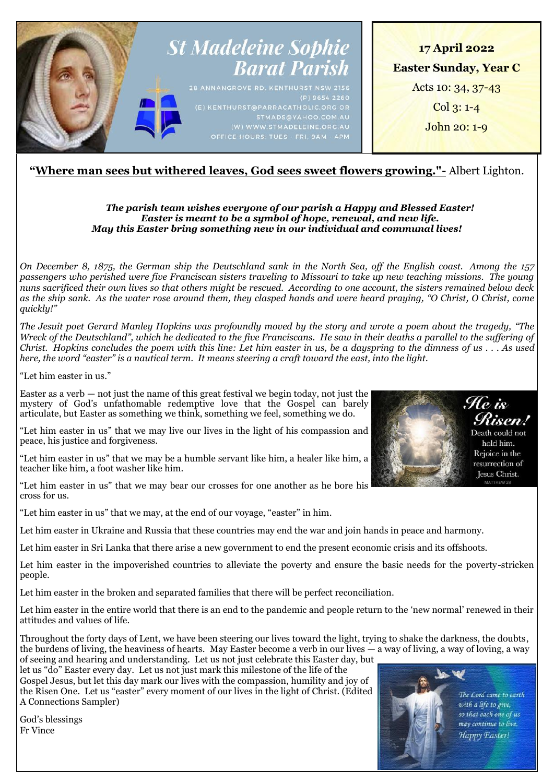

# **"Where man sees but withered leaves, God sees sweet flowers growing."-** Albert Lighton.

# *The parish team wishes everyone of our parish a Happy and Blessed Easter! Easter is meant to be a symbol of hope, renewal, and new life. May this Easter bring something new in our individual and communal lives!*

*On December 8, 1875, the German ship the Deutschland sank in the North Sea, off the English coast. Among the 157 passengers who perished were five Franciscan sisters traveling to Missouri to take up new teaching missions. The young nuns sacrificed their own lives so that others might be rescued. According to one account, the sisters remained below deck as the ship sank. As the water rose around them, they clasped hands and were heard praying, "O Christ, O Christ, come quickly!"*

*The Jesuit poet Gerard Manley Hopkins was profoundly moved by the story and wrote a poem about the tragedy, "The Wreck of the Deutschland", which he dedicated to the five Franciscans. He saw in their deaths a parallel to the suffering of Christ. Hopkins concludes the poem with this line: Let him easter in us, be a dayspring to the dimness of us . . . As used here, the word "easter" is a nautical term. It means steering a craft toward the east, into the light.*

"Let him easter in us."

Easter as a verb  $-$  not just the name of this great festival we begin today, not just the mystery of God's unfathomable redemptive love that the Gospel can barely articulate, but Easter as something we think, something we feel, something we do.

"Let him easter in us" that we may live our lives in the light of his compassion and peace, his justice and forgiveness.

"Let him easter in us" that we may be a humble servant like him, a healer like him, a teacher like him, a foot washer like him.

"Let him easter in us" that we may bear our crosses for one another as he bore his cross for us.

"Let him easter in us" that we may, at the end of our voyage, "easter" in him.

Let him easter in Ukraine and Russia that these countries may end the war and join hands in peace and harmony.

Let him easter in Sri Lanka that there arise a new government to end the present economic crisis and its offshoots.

Let him easter in the impoverished countries to alleviate the poverty and ensure the basic needs for the poverty-stricken people.

Let him easter in the broken and separated families that there will be perfect reconciliation.

Let him easter in the entire world that there is an end to the pandemic and people return to the 'new normal' renewed in their attitudes and values of life.

Throughout the forty days of Lent, we have been steering our lives toward the light, trying to shake the darkness, the doubts, the burdens of living, the heaviness of hearts. May Easter become a verb in our lives — a way of living, a way of loving, a way of seeing and hearing and understanding. Let us not just celebrate this Easter day, but

let us "do" Easter every day. Let us not just mark this milestone of the life of the Gospel Jesus, but let this day mark our lives with the compassion, humility and joy of the Risen One. Let us "easter" every moment of our lives in the light of Christ. (Edited A Connections Sampler)



The Lord came to earth with a life to give, so that each one of us may continue to live. Happy Easter!

God's blessings Fr Vince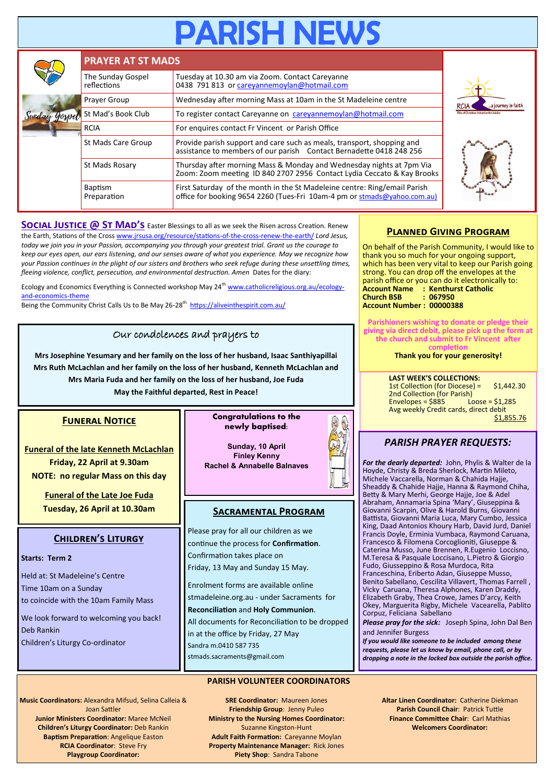# **PARISH NEV**

|  | <b>PRAYER AT ST MADS</b>         |                                                                                                                                                       |                    |  |  |
|--|----------------------------------|-------------------------------------------------------------------------------------------------------------------------------------------------------|--------------------|--|--|
|  | The Sunday Gospel<br>reflections | Tuesday at 10.30 am via Zoom. Contact Careyanne<br>0438 791 813 or careyannemoylan@hotmail.com                                                        |                    |  |  |
|  | Prayer Group                     | Wednesday after morning Mass at 10am in the St Madeleine centre                                                                                       | a journey in faitl |  |  |
|  | St Mad's Book Club               | To register contact Careyanne on careyannemoylan@hotmail.com                                                                                          |                    |  |  |
|  | <b>RCIA</b>                      | For enquires contact Fr Vincent or Parish Office                                                                                                      |                    |  |  |
|  | St Mads Care Group               | Provide parish support and care such as meals, transport, shopping and<br>assistance to members of our parish Contact Bernadette 0418 248 256         |                    |  |  |
|  | St Mads Rosary                   | Thursday after morning Mass & Monday and Wednesday nights at 7pm Via<br>Zoom: Zoom meeting ID 840 2707 2956 Contact Lydia Ceccato & Kay Brooks        |                    |  |  |
|  | <b>Baptism</b><br>Preparation    | First Saturday of the month in the St Madeleine centre: Ring/email Parish<br>office for booking 9654 2260 (Tues-Fri 10am-4 pm or stmads@yahoo.com.au) |                    |  |  |

**SOCIAL JUSTICE @ ST MAD'S** Easter Blessings to all as we seek the Risen across Creation. Renew the Earth, Stations of the Cross [www.jrsusa.org/resource/stations](http://www.jrsusa.org/resource/stations-of-the-cross-renew-the-earth/)-of-the-cross-renew-the-earth/ *Lord Jesus, today we join you in your Passion, accompanying you through your greatest trial. Grant us the courage to keep our eyes open, our ears listening, and our senses aware of what you experience. May we recognize how your Passion continues in the plight of our sisters and brothers who seek refuge during these unsettling times, fleeing violence, conflict, persecution, and environmental destruction. Amen* Dates for the diary:

Ecology and Economics Everything is Connected workshop May 24<sup>th</sup> [www.catholicreligious.org.au/ecology](http://www.catholicreligious.org.au/ecology-and-economics-theme)and-[economics](http://www.catholicreligious.org.au/ecology-and-economics-theme)-theme

 $\overline{Being}$  the Community Christ Calls Us to Be May 26-28<sup>th</sup> <https://aliveinthespirit.com.au/>

# Our condolences and prayers to

**Mrs Josephine Yesumary and her family on the loss of her husband, Isaac Santhiyapillai Mrs Ruth McLachlan and her family on the loss of her husband, Kenneth McLachlan and Mrs Maria Fuda and her family on the loss of her husband, Joe Fuda May the Faithful departed, Rest in Peace!**

# **Funeral Notice**

**Funeral of the late Kenneth McLachlan Friday, 22 April at 9.30am NOTE: no regular Mass on this day**

> **Funeral of the Late Joe Fuda Tuesday, 26 April at 10.30am**

# **Children's Liturgy**

#### **Starts: Term 2**

Held at: St Madeleine's Centre Time 10am on a Sunday to coincide with the 10am Family Mass

We look forward to welcoming you back! Deb Rankin Children's Liturgy Co-ordinator

#### **Congratulations to the newly baptised:**

**Sunday, 10 April Finley Kenny Rachel & Annabelle Balnaves**

# **Sacramental Program**

Please pray for all our children as we continue the process for **Confirmation**. Confirmation takes place on Friday, 13 May and Sunday 15 May.

Enrolment forms are available online

stmadeleine.org.au - under Sacraments for **Reconciliation** and **Holy Communion**.

All documents for Reconciliation to be dropped in at the office by Friday, 27 May Sandra m.0410 587 735 stmads.sacraments@gmail.com

#### **PARISH VOLUNTEER COORDINATORS**

**Music Coordinators:** Alexandra Mifsud, Selina Calleia & Joan Sattler **Junior Ministers Coordinator:** Maree McNeil **Children's Liturgy Coordinator:** Deb Rankin **Baptism Preparation**: Angelique Easton **RCIA Coordinator**: Steve Fry **Playgroup Coordinator:** 

**SRE Coordinator:** Maureen Jones **Friendship Group**: Jenny Puleo **Ministry to the Nursing Homes Coordinator:**  Suzanne Kingston-Hunt **Adult Faith Formation:** Careyanne Moylan **Property Maintenance Manager:** Rick Jones **Piety Shop**: Sandra Tabone

# **Planned Giving Program**

On behalf of the Parish Community, I would like to thank you so much for your ongoing support, which has been very vital to keep our Parish going strong. You can drop off the envelopes at the parish office or you can do it electronically to: **Account Name : Kenthurst Catholic Church BSB : 067950 Account Number : 00000388**

**Parishioners wishing to donate or pledge their giving via direct debit, please pick up the form at the church and submit to Fr Vincent after completion**

**Thank you for your generosity!**

**LAST WEEK'S COLLECTIONS:** 1st Collection (for Diocese) = \$1,442.30 2nd Collection (for Parish)<br>Envelopes = \$885 Loose = \$1,285  $Envelopes = $885$ Avg weekly Credit cards, direct debit \$1,855.76

# *PARISH PRAYER REQUESTS:*

*For the dearly departed:* John, Phylis & Walter de la Hoyde, Christy & Breda Sherlock, Martin Mileto, Michele Vaccarella, Norman & Chahida Hajje, Sheaddy & Chahide Hajje, Hanna & Raymond Chiha, Betty & Mary Merhi, George Hajje, Joe & Adel Abraham, Annamaria Spina 'Mary', Giuseppina & Giovanni Scarpin, Olive & Harold Burns, Giovanni Battista, Giovanni Maria Luca, Mary Cumbo, Jessica King, Daad Antonios Khoury Harb, David Jurd, Daniel Francis Doyle, Erminia Vumbaca, Raymond Caruana, Francesco & Filomena Corcoglioniti, Giuseppe & Caterina Musso, June Brennen, R.Eugenio Loccisno, M.Teresa & Pasquale Loccisano, L.Pietro & Giorgio Fudo, Giusseppino & Rosa Murdoca, Rita Franceschina, Eriberto Adan, Giuseppe Musso, Benito Sabellano, Cescilita Villavert, Thomas Farrell , Vicky Caruana, Theresa Alphones, Karen Draddy, Elizabeth Graby, Thea Crowe, James D'arcy, Keith Okey, Marguerita Rigby, Michele Vacearella, Pablito Corpuz, Feliciana Sabellano

*Please pray for the sick:* Joseph Spina, John Dal Ben and Jennifer Burgess

*If you would like someone to be included among these requests, please let us know by email, phone call, or by dropping a note in the locked box outside the parish office.*

> **Altar Linen Coordinator:** Catherine Diekman **Parish Council Chair**: Patrick Tuttle **Finance Committee Chair**: Carl Mathias **Welcomers Coordinator:**





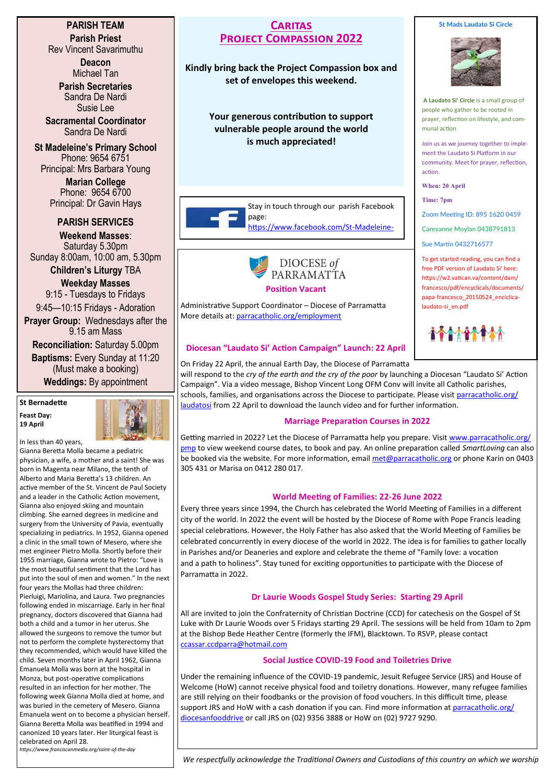### **PARISH TEAM Parish Priest**

Rev Vincent Savarimuthu

**Deacon** Michael Tan

**Parish Secretaries** Sandra De Nardi Susie Lee

**Sacramental Coordinator** Sandra De Nardi

**St Madeleine's Primary School** Phone: 9654 6751 Principal: Mrs Barbara Young

> **Marian College** Phone: 9654 6700 Principal: Dr Gavin Hays

# **PARISH SERVICES**

**Weekend Masses**: Saturday 5.30pm Sunday 8:00am, 10:00 am, 5.30pm

**Children's Liturgy** TBA **Weekday Masses** 

9:15 - Tuesdays to Fridays 9:45—10:15 Fridays - Adoration **Prayer Group:** Wednesdays after the

9.15 am Mass

**Reconciliation:** Saturday 5.00pm **Baptisms:** Every Sunday at 11:20 (Must make a booking) **Weddings:** By appointment

**St Bernadette Feast Day: 19 April**



In less than 40 years,

Gianna Beretta Molla became a pediatric physician, a wife, a mother and a saint! She was born in Magenta near Milano, the tenth of Alberto and Maria Beretta's 13 children. An active member of the St. Vincent de Paul Society and a leader in the Catholic Action movement, Gianna also enjoyed skiing and mountain climbing. She earned degrees in medicine and surgery from the University of Pavia, eventually specializing in pediatrics. In 1952, Gianna opened a clinic in the small town of Mesero, where she met engineer Pietro Molla. Shortly before their 1955 marriage, Gianna wrote to Pietro: "Love is the most beautiful sentiment that the Lord has put into the soul of men and women." In the next four years the Mollas had three children: Pierluigi, Mariolina, and Laura. Two pregnancies following ended in miscarriage. Early in her final pregnancy, doctors discovered that Gianna had both a child and a tumor in her uterus. She allowed the surgeons to remove the tumor but not to perform the complete hysterectomy that they recommended, which would have killed the child. Seven months later in April 1962, Gianna Emanuela Molla was born at the hospital in Monza, but post-operative complications resulted in an infection for her mother. The following week Gianna Molla died at home, and was buried in the cemetery of Mesero. Gianna Emanuela went on to become a physician herself. Gianna Beretta Molla was beatified in 1994 and canonized 10 years later. Her liturgical feast is celebrated on April 28.

**Caritas Project Compassion 2022** 

**Kindly bring back the Project Compassion box and set of envelopes this weekend.**

> **Your generous contribution to support vulnerable people around the world is much appreciated!**

> > Stay in touch through our parish Facebook page:

> > > [https://www.facebook.com/St](https://www.facebook.com/St-Madeleine-Sophie-Barat-Parish-172182352871811/)-Madeleine-



#### **Position Vacant**

Administrative Support Coordinator – Diocese of Parramatta More details at: [parracatholic.org/employment](http://parracatholic.org/employment)

# **Diocesan "Laudato Si' Action Campaign" Launch: 22 April**

On Friday 22 April, the annual Earth Day, the Diocese of Parramatta

will respond to the *cry of the earth and the cry of the poor* by launching a Diocesan "Laudato Si' Action Campaign". Via a video message, Bishop Vincent Long OFM Conv will invite all Catholic parishes, schools, families, and organisations across the Diocese to participate. Please visit [parracatholic.org/](http://parracatholic.org/laudatosi) [laudatosi](http://parracatholic.org/laudatosi) from 22 April to download the launch video and for further information.

# **Marriage Preparation Courses in 2022**

Getting married in 2022? Let the Diocese of Parramatta help you prepare. Visit [www.parracatholic.org/](http://www.parracatholic.org/pmp) [pmp](http://www.parracatholic.org/pmp) to view weekend course dates, to book and pay. An online preparation called *SmartLoving* can also be booked via the website. For more information, email [met@parracatholic.org](mailto:met@parracatholic.org) or phone Karin on 0403 305 431 or Marisa on 0412 280 017.

# **World Meeting of Families: 22-26 June 2022**

Every three years since 1994, the Church has celebrated the World Meeting of Families in a different city of the world. In 2022 the event will be hosted by the Diocese of Rome with Pope Francis leading special celebrations. However, the Holy Father has also asked that the World Meeting of Families be celebrated concurrently in every diocese of the world in 2022. The idea is for families to gather locally in Parishes and/or Deaneries and explore and celebrate the theme of "Family love: a vocation and a path to holiness". Stay tuned for exciting opportunities to participate with the Diocese of Parramatta in 2022.

# **Dr Laurie Woods Gospel Study Series: Starting 29 April**

All are invited to join the Confraternity of Christian Doctrine (CCD) for catechesis on the Gospel of St Luke with Dr Laurie Woods over 5 Fridays starting 29 April. The sessions will be held from 10am to 2pm at the Bishop Bede Heather Centre (formerly the IFM), Blacktown. To RSVP, please contact [ccassar.ccdparra@hotmail.com](mailto:ccassar.ccdparra@hotmail.com)

# **Social Justice COVID-19 Food and Toiletries Drive**

Under the remaining influence of the COVID-19 pandemic, Jesuit Refugee Service (JRS) and House of Welcome (HoW) cannot receive physical food and toiletry donations. However, many refugee families are still relying on their foodbanks or the provision of food vouchers. In this difficult time, please support JRS and HoW with a cash donation if you can. Find more information at [parracatholic.org/](http://parracatholic.org/diocesanfooddrive) [diocesanfooddrive](http://parracatholic.org/diocesanfooddrive) or call JRS on (02) 9356 3888 or HoW on (02) 9727 9290.

*https://www.franciscanmedia.org/saint-of-the-day*

*We respectfully acknowledge the Traditional Owners and Custodians of this country on which we worship*

# **St Mads Laudato Si Circle**



**A Laudato Si' Circle** is a small group of people who gather to be rooted in prayer, reflection on lifestyle, and communal action

Join us as we journey together to implement the Laudato Si Platform in our community. Meet for prayer, reflection, action.

**When: 20 April**

**Time: 7pm**

Zoom Meeting ID: 895 1620 0459

Careyanne Moylan 0438791813

Sue Martin 0432716577

To get started reading, you can find a free PDF version of Laudato Si' here: https://w2.vatican.va/content/dam/ francesco/pdf/encyclicals/documents/ papa-francesco\_20150524\_enciclicalaudato-si\_en.pdf